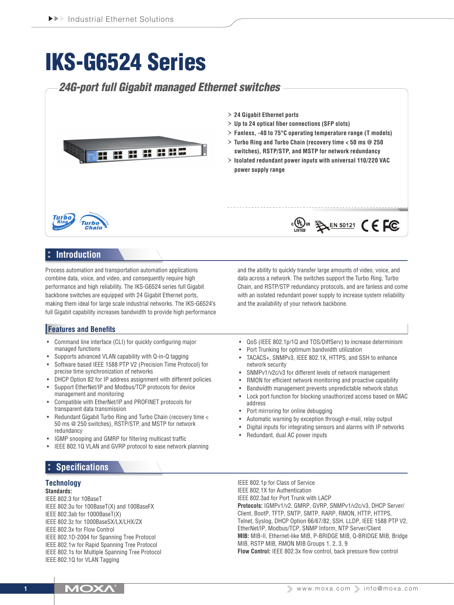# IKS-G6524 Series

## *24G-port full Gigabit managed Ethernet switches* › **24 Gigabit Ethernet ports** › **Up to 24 optical fiber connections (SFP slots)** › **Fanless, -40 to 75°C operating temperature range (T models)** › **Turbo Ring and Turbo Chain (recovery time < 50 ms @ 250**  g g p a **switches), RSTP/STP, and MSTP for network redundancy** EŽ › **Isolated redundant power inputs with universal 110/220 VAC power supply range**  $\frac{1}{15}$  (Up) us  $\frac{1}{2}$  EN 50121 (  $\epsilon$  FC **Turbo Introduction**

Process automation and transportation automation applications combine data, voice, and video, and consequently require high performance and high reliability. The IKS-G6524 series full Gigabit backbone switches are equipped with 24 Gigabit Ethernet ports, making them ideal for large scale industrial networks. The IKS-G6524's full Gigabit capability increases bandwidth to provide high performance

## **Features and Benefits**

- Command line interface (CLI) for quickly configuring major managed functions
- Supports advanced VLAN capability with Q-in-Q tagging
- Software based IEEE 1588 PTP V2 (Precision Time Protocol) for precise time synchronization of networks
- DHCP Option 82 for IP address assignment with different policies
- Support EtherNet/IP and Modbus/TCP protocols for device management and monitoring
- Compatible with EtherNet/IP and PROFINET protocols for transparent data transmission
- Redundant Gigabit Turbo Ring and Turbo Chain (recovery time < 50 ms @ 250 switches), RSTP/STP, and MSTP for network redundancy
- IGMP snooping and GMRP for filtering multicast traffic
- IEEE 802.1Q VLAN and GVRP protocol to ease network planning

## **Specifications**

## **Technology**

**Standards:**

IEEE 802.3 for 10BaseT IEEE 802.3u for 100BaseT(X) and 100BaseFX IEEE 802.3ab for 1000BaseT(X) IEEE 802.3z for 1000BaseSX/LX/LHX/ZX IEEE 802.3x for Flow Control IEEE 802.1D-2004 for Spanning Tree Protocol IEEE 802.1w for Rapid Spanning Tree Protocol IEEE 802.1s for Multiple Spanning Tree Protocol IEEE 802.1Q for VLAN Tagging

• QoS (IEEE 802.1p/1Q and TOS/DiffServ) to increase determinism

and the ability to quickly transfer large amounts of video, voice, and data across a network. The switches support the Turbo Ring, Turbo Chain, and RSTP/STP redundancy protocols, and are fanless and come with an isolated redundant power supply to increase system reliability

Port Trunking for optimum bandwidth utilization

and the availability of your network backbone.

- TACACS+, SNMPv3, IEEE 802.1X, HTTPS, and SSH to enhance network security
- SNMPv1/v2c/v3 for different levels of network management
- RMON for efficient network monitoring and proactive capability
- Bandwidth management prevents unpredictable network status
- • Lock port function for blocking unauthorized access based on MAC address
- Port mirroring for online debugging
- Automatic warning by exception through e-mail, relay output
- Digital inputs for integrating sensors and alarms with IP networks
- Redundant, dual AC power inputs

IEEE 802.1p for Class of Service IEEE 802.1X for Authentication IEEE 802.3ad for Port Trunk with LACP **Protocols:** IGMPv1/v2, GMRP, GVRP, SNMPv1/v2c/v3, DHCP Server/ Client, BootP, TFTP, SNTP, SMTP, RARP, RMON, HTTP, HTTPS, Telnet, Syslog, DHCP Option 66/67/82, SSH, LLDP, IEEE 1588 PTP V2, EtherNet/IP, Modbus/TCP, SNMP Inform, NTP Server/Client **MIB:** MIB-II, Ethernet-like MIB, P-BRIDGE MIB, Q-BRIDGE MIB, Bridge MIB, RSTP MIB, RMON MIB Groups 1, 2, 3, 9 **Flow Control:** IEEE 802.3x flow control, back pressure flow control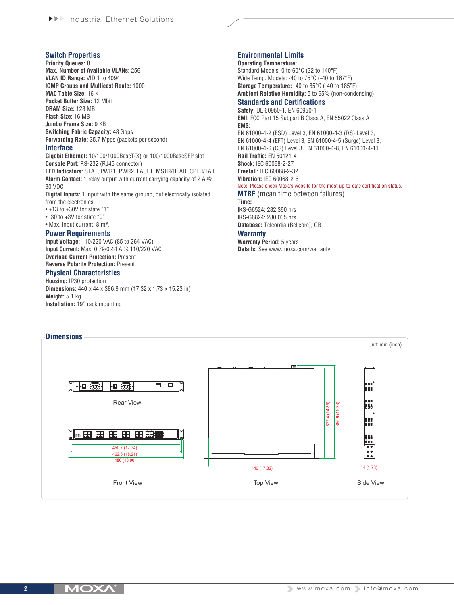## **Switch Properties**

**Priority Queues:** 8 **Max. Number of Available VLANs:** 256 **VLAN ID Range:** VID 1 to 4094 **IGMP Groups and Multicast Route:** 1000 **MAC Table Size:** 16 K **Packet Buffer Size:** 12 Mbit **DRAM Size:** 128 MB **Flash Size:** 16 MB **Jumbo Frame Size:** 9 KB **Switching Fabric Capacity: 48 Gbps Forwarding Rate:** 35.7 Mpps (packets per second)

#### **Interface**

**Gigabit Ethernet:** 10/100/1000BaseT(X) or 100/1000BaseSFP slot **Console Port:** RS-232 (RJ45 connector) **LED Indicators:** STAT, PWR1, PWR2, FAULT, MSTR/HEAD, CPLR/TAIL **Alarm Contact:** 1 relay output with current carrying capacity of 2 A @ 30 VDC

**Digital Inputs:** 1 input with the same ground, but electrically isolated from the electronics.

- +13 to +30V for state "1"
- -30 to +3V for state "0"
- Max. input current: 8 mA

#### **Power Requirements**

**Input Voltage:** 110/220 VAC (85 to 264 VAC) **Input Current:** Max. 0.79/0.44 A @ 110/220 VAC **Overload Current Protection:** Present **Reverse Polarity Protection:** Present

#### **Physical Characteristics**

**Housing:** IP30 protection **Dimensions:** 440 x 44 x 386.9 mm (17.32 x 1.73 x 15.23 in) **Weight:** 5.1 kg **Installation:** 19'' rack mounting

## **Environmental Limits**

**Operating Temperature:** Standard Models: 0 to 60°C (32 to 140°F) Wide Temp. Models: -40 to 75°C (-40 to 167°F) **Storage Temperature:** -40 to 85°C (-40 to 185°F) **Ambient Relative Humidity:** 5 to 95% (non-condensing)

## **Standards and Certifications**

**Safety:** UL 60950-1, EN 60950-1 **EMI:** FCC Part 15 Subpart B Class A, EN 55022 Class A **EMS:** EN 61000-4-2 (ESD) Level 3, EN 61000-4-3 (RS) Level 3,

EN 61000-4-4 (EFT) Level 3, EN 61000-4-5 (Surge) Level 3, EN 61000-4-6 (CS) Level 3, EN 61000-4-8, EN 61000-4-11 **Rail Traffic:** EN 50121-4 **Shock:** IEC 60068-2-27 **Freefall:** IEC 60068-2-32 **Vibration:** IEC 60068-2-6 Note: Please check Moxa's website for the most up-to-date certification status.

#### **MTBF** (mean time between failures)

**Time:**

IKS-G6524: 282,390 hrs IKS-G6824: 280,035 hrs **Database:** Telcordia (Bellcore), GB

#### **Warranty**

**Warranty Period:** 5 years **Details:** See www.moxa.com/warranty